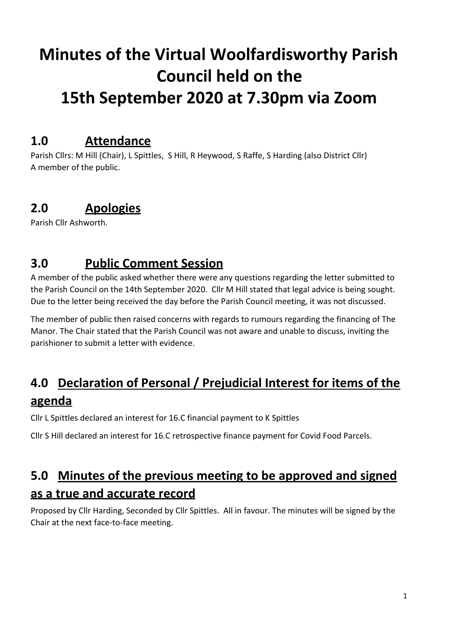# **Minutes of the Virtual Woolfardisworthy Parish Council held on the 15th September 2020 at 7.30pm via Zoom**

#### **1.0 Attendance**

Parish Cllrs: M Hill (Chair), L Spittles, S Hill, R Heywood, S Raffe, S Harding (also District Cllr) A member of the public.

# **2.0 Apologies**

Parish Cllr Ashworth.

## **3.0 Public Comment Session**

A member of the public asked whether there were any questions regarding the letter submitted to the Parish Council on the 14th September 2020. Cllr M Hill stated that legal advice is being sought. Due to the letter being received the day before the Parish Council meeting, it was not discussed.

The member of public then raised concerns with regards to rumours regarding the financing of The Manor. The Chair stated that the Parish Council was not aware and unable to discuss, inviting the parishioner to submit a letter with evidence.

# **4.0 Declaration of Personal / Prejudicial Interest for items of the agenda**

Cllr L Spittles declared an interest for 16.C financial payment to K Spittles

Cllr S Hill declared an interest for 16.C retrospective finance payment for Covid Food Parcels.

# **5.0 Minutes of the previous meeting to be approved and signed as a true and accurate record**

Proposed by Cllr Harding, Seconded by Cllr Spittles. All in favour. The minutes will be signed by the Chair at the next face-to-face meeting.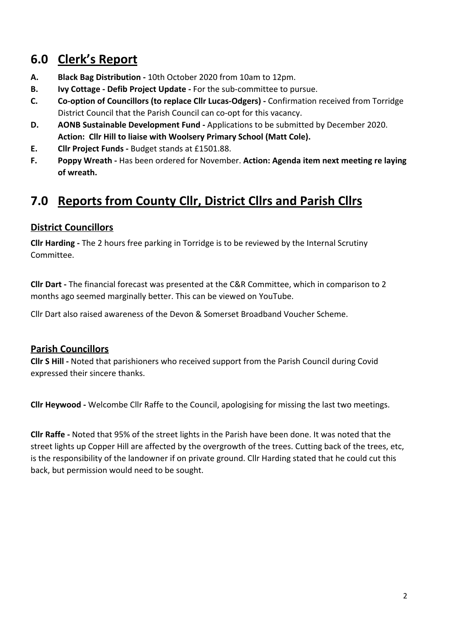# **6.0 Clerk's Report**

- **A. Black Bag Distribution** 10th October 2020 from 10am to 12pm.
- **B. Ivy Cottage Defib Project Update** For the sub-committee to pursue.
- **C. Co-option of Councillors (to replace Cllr Lucas-Odgers)** Confirmation received from Torridge District Council that the Parish Council can co-opt for this vacancy.
- **D. AONB Sustainable Development Fund** Applications to be submitted by December 2020. **Action: Cllr Hill to liaise with Woolsery Primary School (Matt Cole).**
- **E. Cllr Project Funds** Budget stands at £1501.88.
- **F. Poppy Wreath** Has been ordered for November. **Action: Agenda item next meeting re laying of wreath.**

# **7.0 Reports from County Cllr, District Cllrs and Parish Cllrs**

#### **District Councillors**

**Cllr Harding -** The 2 hours free parking in Torridge is to be reviewed by the Internal Scrutiny Committee.

**Cllr Dart -** The financial forecast was presented at the C&R Committee, which in comparison to 2 months ago seemed marginally better. This can be viewed on YouTube.

Cllr Dart also raised awareness of the Devon & Somerset Broadband Voucher Scheme.

#### **Parish Councillors**

**Cllr S Hill -** Noted that parishioners who received support from the Parish Council during Covid expressed their sincere thanks.

**Cllr Heywood -** Welcombe Cllr Raffe to the Council, apologising for missing the last two meetings.

**Cllr Raffe -** Noted that 95% of the street lights in the Parish have been done. It was noted that the street lights up Copper Hill are affected by the overgrowth of the trees. Cutting back of the trees, etc, is the responsibility of the landowner if on private ground. Cllr Harding stated that he could cut this back, but permission would need to be sought.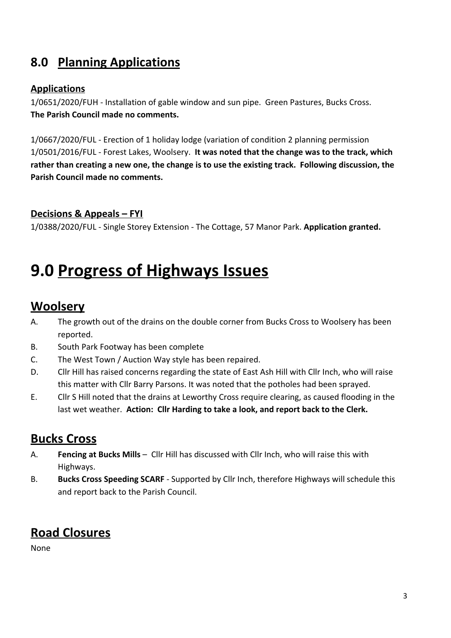# **8.0 Planning Applications**

#### **Applications**

1/0651/2020/FUH - Installation of gable window and sun pipe. Green Pastures, Bucks Cross. **The Parish Council made no comments.**

1/0667/2020/FUL - Erection of 1 holiday lodge (variation of condition 2 planning permission 1/0501/2016/FUL - Forest Lakes, Woolsery. **It was noted that the change was to the track, which rather than creating a new one, the change is to use the existing track. Following discussion, the Parish Council made no comments.**

#### **Decisions & Appeals – FYI**

1/0388/2020/FUL - Single Storey Extension - The Cottage, 57 Manor Park. **Application granted.**

# **9.0 Progress of Highways Issues**

#### **Woolsery**

- A. The growth out of the drains on the double corner from Bucks Cross to Woolsery has been reported.
- B. South Park Footway has been complete
- C. The West Town / Auction Way style has been repaired.
- D. Cllr Hill has raised concerns regarding the state of East Ash Hill with Cllr Inch, who will raise this matter with Cllr Barry Parsons. It was noted that the potholes had been sprayed.
- E. Cllr S Hill noted that the drains at Leworthy Cross require clearing, as caused flooding in the last wet weather. **Action: Cllr Harding to take a look, and report back to the Clerk.**

#### **Bucks Cross**

- A. **Fencing at Bucks Mills** Cllr Hill has discussed with Cllr Inch, who will raise this with Highways.
- B. **Bucks Cross Speeding SCARF** Supported by Cllr Inch, therefore Highways will schedule this and report back to the Parish Council.

#### **Road Closures**

None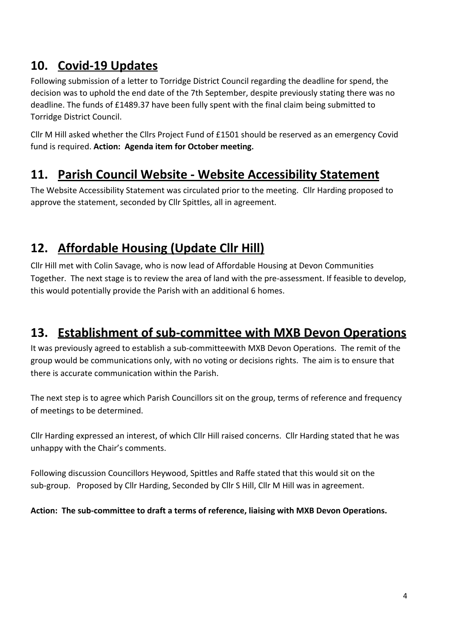## **10. Covid-19 Updates**

Following submission of a letter to Torridge District Council regarding the deadline for spend, the decision was to uphold the end date of the 7th September, despite previously stating there was no deadline. The funds of £1489.37 have been fully spent with the final claim being submitted to Torridge District Council.

Cllr M Hill asked whether the Cllrs Project Fund of £1501 should be reserved as an emergency Covid fund is required. **Action: Agenda item for October meeting.**

## **11. Parish Council Website - Website Accessibility Statement**

The Website Accessibility Statement was circulated prior to the meeting. Cllr Harding proposed to approve the statement, seconded by Cllr Spittles, all in agreement.

# **12. Affordable Housing (Update Cllr Hill)**

Cllr Hill met with Colin Savage, who is now lead of Affordable Housing at Devon Communities Together. The next stage is to review the area of land with the pre-assessment. If feasible to develop, this would potentially provide the Parish with an additional 6 homes.

#### **13. Establishment of sub-committee with MXB Devon Operations**

It was previously agreed to establish a sub-committeewith MXB Devon Operations. The remit of the group would be communications only, with no voting or decisions rights. The aim is to ensure that there is accurate communication within the Parish.

The next step is to agree which Parish Councillors sit on the group, terms of reference and frequency of meetings to be determined.

Cllr Harding expressed an interest, of which Cllr Hill raised concerns. Cllr Harding stated that he was unhappy with the Chair's comments.

Following discussion Councillors Heywood, Spittles and Raffe stated that this would sit on the sub-group. Proposed by Cllr Harding, Seconded by Cllr S Hill, Cllr M Hill was in agreement.

#### **Action: The sub-committee to draft a terms of reference, liaising with MXB Devon Operations.**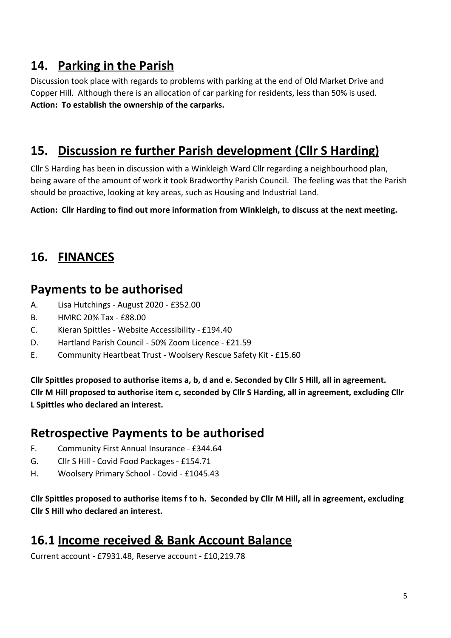## **14. Parking in the Parish**

Discussion took place with regards to problems with parking at the end of Old Market Drive and Copper Hill. Although there is an allocation of car parking for residents, less than 50% is used. **Action: To establish the ownership of the carparks.**

# **15. Discussion re further Parish development (Cllr S Harding)**

Cllr S Harding has been in discussion with a Winkleigh Ward Cllr regarding a neighbourhood plan, being aware of the amount of work it took Bradworthy Parish Council. The feeling was that the Parish should be proactive, looking at key areas, such as Housing and Industrial Land.

**Action: Cllr Harding to find out more information from Winkleigh, to discuss at the next meeting.**

# **16. FINANCES**

#### **Payments to be authorised**

- A. Lisa Hutchings August 2020 £352.00
- B. HMRC 20% Tax £88.00
- C. Kieran Spittles Website Accessibility £194.40
- D. Hartland Parish Council 50% Zoom Licence £21.59
- E. Community Heartbeat Trust Woolsery Rescue Safety Kit £15.60

**Cllr Spittles proposed to authorise items a, b, d and e. Seconded by Cllr S Hill, all in agreement. Cllr M Hill proposed to authorise item c, seconded by Cllr S Harding, all in agreement, excluding Cllr L Spittles who declared an interest.**

#### **Retrospective Payments to be authorised**

- F. Community First Annual Insurance £344.64
- G. Cllr S Hill Covid Food Packages £154.71
- H. Woolsery Primary School Covid £1045.43

**Cllr Spittles proposed to authorise items f to h. Seconded by Cllr M Hill, all in agreement, excluding Cllr S Hill who declared an interest.**

#### **16.1 Income received & Bank Account Balance**

Current account - £7931.48, Reserve account - £10,219.78